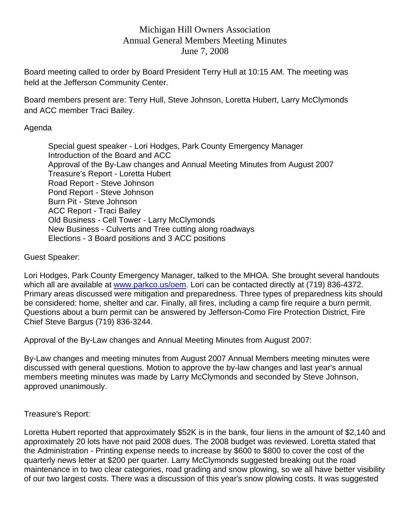# Michigan Hill Owners Association Annual General Members Meeting Minutes June 7, 2008

Board meeting called to order by Board President Terry Hull at 10:15 AM. The meeting was held at the Jefferson Community Center.

Board members present are: Terry Hull, Steve Johnson, Loretta Hubert, Larry McClymonds and ACC member Traci Bailey.

### Agenda

 Special guest speaker - Lori Hodges, Park County Emergency Manager Introduction of the Board and ACC Approval of the By-Law changes and Annual Meeting Minutes from August 2007 Treasure's Report - Loretta Hubert Road Report - Steve Johnson Pond Report - Steve Johnson Burn Pit - Steve Johnson ACC Report - Traci Bailey Old Business - Cell Tower - Larry McClymonds New Business - Culverts and Tree cutting along roadways Elections - 3 Board positions and 3 ACC positions

Guest Speaker:

Lori Hodges, Park County Emergency Manager, talked to the MHOA. She brought several handouts which all are available at www.parkco.us/oem. Lori can be contacted directly at (719) 836-4372. Primary areas discussed were mitigation and preparedness. Three types of preparedness kits should be considered: home, shelter and car. Finally, all fires, including a camp fire require a burn permit. Questions about a burn permit can be answered by Jefferson-Como Fire Protection District, Fire Chief Steve Bargus (719) 836-3244.

Approval of the By-Law changes and Annual Meeting Minutes from August 2007:

By-Law changes and meeting minutes from August 2007 Annual Members meeting minutes were discussed with general questions. Motion to approve the by-law changes and last year's annual members meeting minutes was made by Larry McClymonds and seconded by Steve Johnson, approved unanimously.

### Treasure's Report:

Loretta Hubert reported that approximately \$52K is in the bank, four liens in the amount of \$2,140 and approximately 20 lots have not paid 2008 dues. The 2008 budget was reviewed. Loretta stated that the Administration - Printing expense needs to increase by \$600 to \$800 to cover the cost of the quarterly news letter at \$200 per quarter. Larry McClymonds suggested breaking out the road maintenance in to two clear categories, road grading and snow plowing, so we all have better visibility of our two largest costs. There was a discussion of this year's snow plowing costs. It was suggested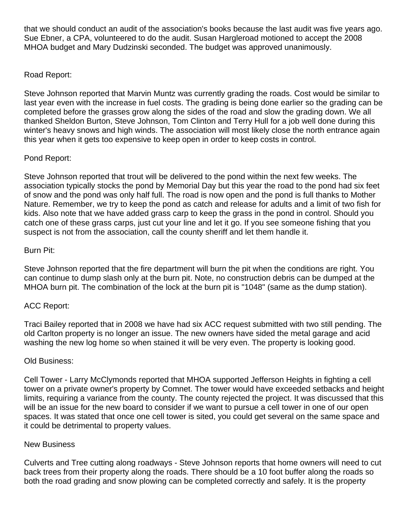that we should conduct an audit of the association's books because the last audit was five years ago. Sue Ebner, a CPA, volunteered to do the audit. Susan Hargleroad motioned to accept the 2008 MHOA budget and Mary Dudzinski seconded. The budget was approved unanimously.

### Road Report:

Steve Johnson reported that Marvin Muntz was currently grading the roads. Cost would be similar to last year even with the increase in fuel costs. The grading is being done earlier so the grading can be completed before the grasses grow along the sides of the road and slow the grading down. We all thanked Sheldon Burton, Steve Johnson, Tom Clinton and Terry Hull for a job well done during this winter's heavy snows and high winds. The association will most likely close the north entrance again this year when it gets too expensive to keep open in order to keep costs in control.

### Pond Report:

Steve Johnson reported that trout will be delivered to the pond within the next few weeks. The association typically stocks the pond by Memorial Day but this year the road to the pond had six feet of snow and the pond was only half full. The road is now open and the pond is full thanks to Mother Nature. Remember, we try to keep the pond as catch and release for adults and a limit of two fish for kids. Also note that we have added grass carp to keep the grass in the pond in control. Should you catch one of these grass carps, just cut your line and let it go. If you see someone fishing that you suspect is not from the association, call the county sheriff and let them handle it.

### Burn Pit:

Steve Johnson reported that the fire department will burn the pit when the conditions are right. You can continue to dump slash only at the burn pit. Note, no construction debris can be dumped at the MHOA burn pit. The combination of the lock at the burn pit is "1048" (same as the dump station).

# ACC Report:

Traci Bailey reported that in 2008 we have had six ACC request submitted with two still pending. The old Carlton property is no longer an issue. The new owners have sided the metal garage and acid washing the new log home so when stained it will be very even. The property is looking good.

### Old Business:

Cell Tower - Larry McClymonds reported that MHOA supported Jefferson Heights in fighting a cell tower on a private owner's property by Comnet. The tower would have exceeded setbacks and height limits, requiring a variance from the county. The county rejected the project. It was discussed that this will be an issue for the new board to consider if we want to pursue a cell tower in one of our open spaces. It was stated that once one cell tower is sited, you could get several on the same space and it could be detrimental to property values.

### New Business

Culverts and Tree cutting along roadways - Steve Johnson reports that home owners will need to cut back trees from their property along the roads. There should be a 10 foot buffer along the roads so both the road grading and snow plowing can be completed correctly and safely. It is the property